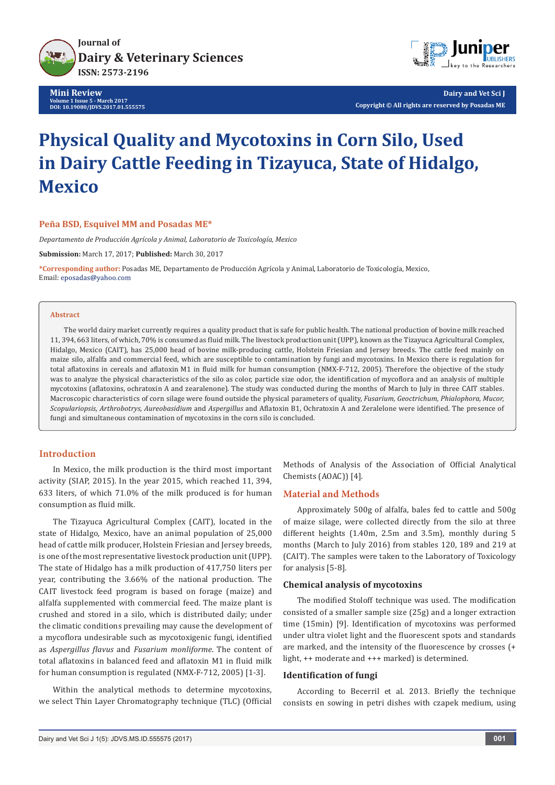

**Mini Review Volume 1 Issue 5 - March 2017 DOI: [10.19080/JDVS.2017.01.555575](http://dx.doi.org/10.19080/JDVS.2017.01.555575
)**



**Dairy and Vet Sci J Copyright © All rights are reserved by Posadas ME**

# **Physical Quality and Mycotoxins in Corn Silo, Used in Dairy Cattle Feeding in Tizayuca, State of Hidalgo, Mexico**

### **Peña BSD, Esquivel MM and Posadas ME\***

*Departamento de Producción Agrícola y Animal, Laboratorio de Toxicología, Mexico*

**Submission:** March 17, 2017; **Published:** March 30, 2017

**\*Corresponding author:** Posadas ME, Departamento de Producción Agrícola y Animal, Laboratorio de Toxicología, Mexico, Email: eposadas@yahoo.com

#### **Abstract**

The world dairy market currently requires a quality product that is safe for public health. The national production of bovine milk reached 11, 394, 663 liters, of which, 70% is consumed as fluid milk. The livestock production unit (UPP), known as the Tizayuca Agricultural Complex, Hidalgo, Mexico (CAIT), has 25,000 head of bovine milk-producing cattle, Holstein Friesian and Jersey breeds. The cattle feed mainly on maize silo, alfalfa and commercial feed, which are susceptible to contamination by fungi and mycotoxins. In Mexico there is regulation for total aflatoxins in cereals and aflatoxin M1 in fluid milk for human consumption (NMX-F-712, 2005). Therefore the objective of the study was to analyze the physical characteristics of the silo as color, particle size odor, the identification of mycoflora and an analysis of multiple mycotoxins (aflatoxins, ochratoxin A and zearalenone). The study was conducted during the months of March to July in three CAIT stables. Macroscopic characteristics of corn silage were found outside the physical parameters of quality, *Fusarium, Geoctrichum, Phialophora, Mucor, Scopulariopsis, Arthrobotrys, Aureobasidium* and *Aspergillus* and Aflatoxin B1, Ochratoxin A and Zeralelone were identified. The presence of fungi and simultaneous contamination of mycotoxins in the corn silo is concluded.

### **Introduction**

In Mexico, the milk production is the third most important activity (SIAP, 2015). In the year 2015, which reached 11, 394, 633 liters, of which 71.0% of the milk produced is for human consumption as fluid milk.

The Tizayuca Agricultural Complex (CAIT), located in the state of Hidalgo, Mexico, have an animal population of 25,000 head of cattle milk producer, Holstein Friesian and Jersey breeds, is one of the most representative livestock production unit (UPP). The state of Hidalgo has a milk production of 417,750 liters per year, contributing the 3.66% of the national production. The CAIT livestock feed program is based on forage (maize) and alfalfa supplemented with commercial feed. The maize plant is crushed and stored in a silo, which is distributed daily; under the climatic conditions prevailing may cause the development of a mycoflora undesirable such as mycotoxigenic fungi, identified as *Aspergillus flavus* and *Fusarium monliforme*. The content of total aflatoxins in balanced feed and aflatoxin M1 in fluid milk for human consumption is regulated (NMX-F-712, 2005) [1-3].

Within the analytical methods to determine mycotoxins, we select Thin Layer Chromatography technique (TLC) (Official Methods of Analysis of the Association of Official Analytical Chemists (AOAC)) [4].

# **Material and Methods**

Approximately 500g of alfalfa, bales fed to cattle and 500g of maize silage, were collected directly from the silo at three different heights (1.40m, 2.5m and 3.5m), monthly during 5 months (March to July 2016) from stables 120, 189 and 219 at (CAIT). The samples were taken to the Laboratory of Toxicology for analysis [5-8].

#### **Chemical analysis of mycotoxins**

The modified Stoloff technique was used. The modification consisted of a smaller sample size (25g) and a longer extraction time (15min) [9]. Identification of mycotoxins was performed under ultra violet light and the fluorescent spots and standards are marked, and the intensity of the fluorescence by crosses (+ light, ++ moderate and +++ marked) is determined.

#### **Identification of fungi**

According to Becerril et al. 2013. Briefly the technique consists en sowing in petri dishes with czapek medium, using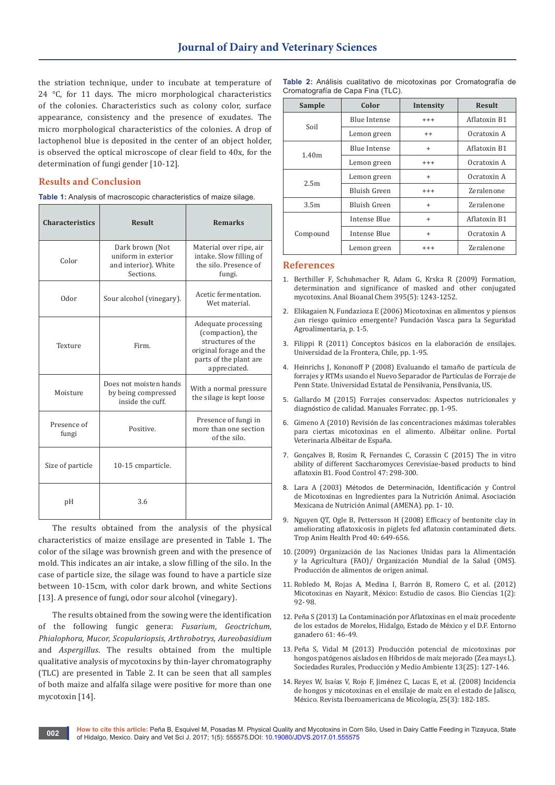the striation technique, under to incubate at temperature of 24 °C, for 11 days. The micro morphological characteristics of the colonies. Characteristics such as colony color, surface appearance, consistency and the presence of exudates. The micro morphological characteristics of the colonies. A drop of lactophenol blue is deposited in the center of an object holder, is observed the optical microscope of clear field to 40x, for the determination of fungi gender [10-12].

## **Results and Conclusion**

**Table 1:** Analysis of macroscopic characteristics of maize silage.

| <b>Characteristics</b> | <b>Result</b>                                                               | <b>Remarks</b>                                                                                                                     |  |
|------------------------|-----------------------------------------------------------------------------|------------------------------------------------------------------------------------------------------------------------------------|--|
| Color                  | Dark brown (Not<br>uniform in exterior<br>and interior). White<br>Sections. | Material over ripe, air<br>intake. Slow filling of<br>the silo. Presence of<br>fungi.                                              |  |
| Odor                   | Sour alcohol (vinegary).                                                    | Acetic fermentation.<br>Wet material.                                                                                              |  |
| Texture                | Firm.                                                                       | Adequate processing<br>(compaction), the<br>structures of the<br>original forage and the<br>parts of the plant are<br>appreciated. |  |
| Moisture               | Does not moisten hands<br>by being compressed<br>inside the cuff.           | With a normal pressure<br>the silage is kept loose                                                                                 |  |
| Presence of<br>fungi   | Positive.                                                                   | Presence of fungi in<br>more than one section<br>of the silo.                                                                      |  |
| Size of particle       | 10-15 cmparticle.                                                           |                                                                                                                                    |  |
| рH                     | 3.6                                                                         |                                                                                                                                    |  |

The results obtained from the analysis of the physical characteristics of maize ensilage are presented in Table 1. The color of the silage was brownish green and with the presence of mold. This indicates an air intake, a slow filling of the silo. In the case of particle size, the silage was found to have a particle size between 10-15cm, with color dark brown, and white Sections [13]. A presence of fungi, odor sour alcohol (vinegary).

The results obtained from the sowing were the identification of the following fungic genera: *Fusarium*, *Geoctrichum, Phialophora, Mucor, Scopulariopsis, Arthrobotrys, Aureobasidium* and *Aspergillus*. The results obtained from the multiple qualitative analysis of mycotoxins by thin-layer chromatography (TLC) are presented in Table 2. It can be seen that all samples of both maize and alfalfa silage were positive for more than one mycotoxin [14].

**Table 2:** Análisis cualitativo de micotoxinas por Cromatografía de Cromatografía de Capa Fina (TLC).

| Sample           | Color               | Intensity | <b>Result</b> |
|------------------|---------------------|-----------|---------------|
| Soil             | <b>Blue Intense</b> | $++++$    | Aflatoxin B1  |
|                  | Lemon green         | $++$      | Ocratoxin A   |
| 1.40m            | <b>Blue Intense</b> | $\ddot{}$ | Aflatoxin B1  |
|                  | Lemon green         | $^{+++}$  | Ocratoxin A   |
| 2.5m             | Lemon green         | $\ddot{}$ | Ocratoxin A   |
|                  | Bluish Green        | $^{+++}$  | Zeralenone    |
| 3.5 <sub>m</sub> | Bluish Green        | $\ddot{}$ | Zeralenone    |
| Compound         | Intense Blue        | $\ddot{}$ | Aflatoxin B1  |
|                  | Intense Blue        | $\ddot{}$ | Ocratoxin A   |
|                  | Lemon green         | $+++$     | Zeralenone    |

#### **References**

- 1. [Berthiller F, Schuhmacher R, Adam G, Krska R \(2009\) Formation,](https://www.ncbi.nlm.nih.gov/pubmed/19585112)  [determination and significance of masked and other conjugated](https://www.ncbi.nlm.nih.gov/pubmed/19585112)  [mycotoxins. Anal Bioanal Chem 395\(5\): 1243-1252.](https://www.ncbi.nlm.nih.gov/pubmed/19585112)
- 2. Elikagaien N, Fundazioza E (2006) Micotoxinas en alimentos y piensos ¿un riesgo químico emergente? Fundación Vasca para la Seguridad Agroalimentaria, p. 1-5.
- 3. Filippi R (2011) Conceptos básicos en la elaboración de ensilajes. Universidad de la Frontera, Chile, pp. 1-95.
- 4. Heinrichs J, Kononoff P (2008) Evaluando el tamaño de partícula de forrajes y RTMs usando el Nuevo Separador de Partículas de Forraje de Penn State. Universidad Estatal de Pensilvania, Pensilvania, US.
- 5. Gallardo M (2015) Forrajes conservados: Aspectos nutricionales y diagnóstico de calidad. Manuales Forratec. pp. 1-95.
- 6. Gimeno A (2010) Revisión de las concentraciones máximas tolerables para ciertas micotoxinas en el alimento. Albéitar online. Portal Veterinaria Albéitar de España.
- 7. Gonçalves B, Rosim R, Fernandes C, Corassin C (2015) The in vitro ability of different Saccharomyces Cerevisiae-based products to bind aflatoxin B1. Food Control 47: 298-300.
- 8. Lara A (2003) Métodos de Determinación, Identificación y Control de Micotoxinas en Ingredientes para la Nutrición Animal. Asociación Mexicana de Nutrición Animal (AMENA). pp. 1- 10.
- 9. Nguyen QT, Ogle B, Pettersson H (2008) Efficacy of bentonite clay in ameliorating aflatoxicosis in piglets fed aflatoxin contaminated diets. Trop Anim Health Prod 40: 649-656.
- 10. (2009) Organización de las Naciones Unidas para la Alimentación y la Agricultura (FAO)/ Organización Mundial de la Salud (OMS). Producción de alimentos de origen animal.
- 11. Robledo M, Rojas A, Medina I, Barrón B, Romero C, et al. (2012) Micotoxinas en Nayarit, México: Estudio de casos. Bio Ciencias 1(2): 92- 98.
- 12. Peña S (2013) La Contaminación por Aflatoxinas en el maíz procedente de los estados de Morelos, Hidalgo, Estado de México y el D.F. Entorno ganadero 61: 46-49.
- 13. Peña S, Vidal M (2013) Producción potencial de micotoxinas por hongos patógenos aislados en Híbridos de maíz mejorado (Zea mays L). Sociedades Rurales, Producción y Medio Ambiente 13(25): 127-146.
- 14. Reyes W, Isaías V, Rojo F, Jiménez C, Lucas E, et al. (2008) Incidencia de hongos y micotoxinas en el ensilaje de maíz en el estado de Jalisco, México. Revista Iberoamericana de Micología, 25(3): 182-185.